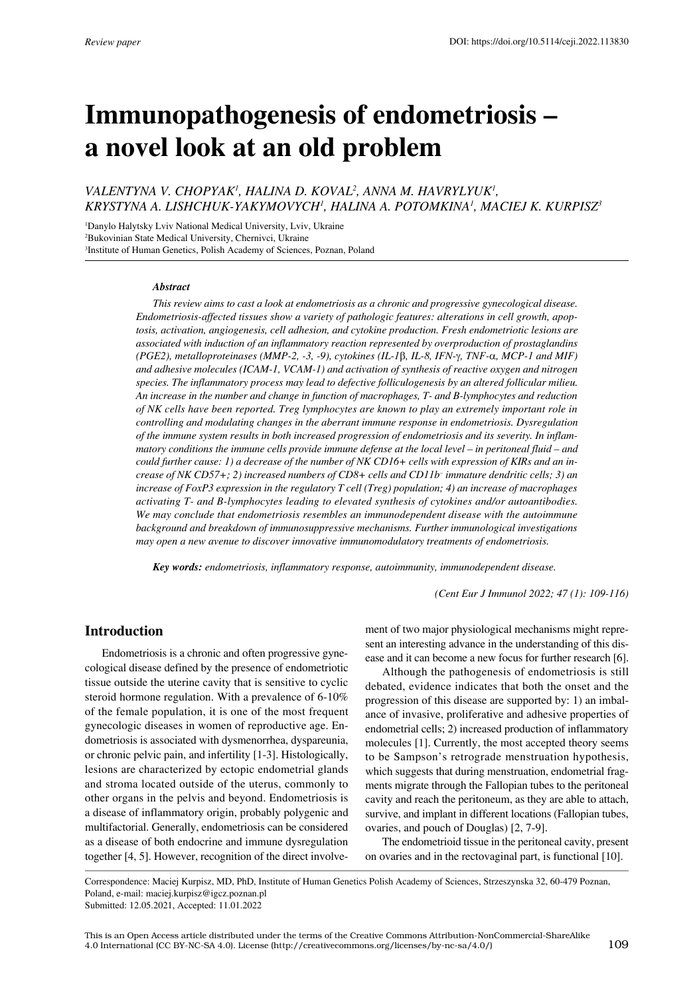# **Immunopathogenesis of endometriosis – a novel look at an old problem**

# VALENTYNA V. CHOPYAK<sup>1</sup>, HALINA D. KOVAL<sup>2</sup>, ANNA M. HAVRYLYUK<sup>1</sup>, *Krystyna A. Lishchuk-Yakymovych1 , Halina A. Potomkina1 , Maciej K. Kurpisz3*

1 Danylo Halytsky Lviv National Medical University, Lviv, Ukraine 2 Bukovinian State Medical University, Chernivci, Ukraine 3 Institute of Human Genetics, Polish Academy of Sciences, Poznan, Poland

#### *Abstract*

*This review aims to cast a look at endometriosis as a chronic and progressive gynecological disease. Endometriosis-affected tissues show a variety of pathologic features: alterations in cell growth, apoptosis, activation, angiogenesis, cell adhesion, and cytokine production. Fresh endometriotic lesions are associated with induction of an inflammatory reaction represented by overproduction of prostaglandins (PGE2), metalloproteinases (MMP-2, -3, -9), cytokines (IL-1*β*, IL-8, IFN-*γ*, TNF-*α*, MCP-1 and MIF) and adhesive molecules (ICAM-1, VCAM-1) and activation of synthesis of reactive oxygen and nitrogen species. The inflammatory process may lead to defective folliculogenesis by an altered follicular milieu. An increase in the number and change in function of macrophages, T- and B-lymphocytes and reduction of NK cells have been reported. Treg lymphocytes are known to play an extremely important role in controlling and modulating changes in the aberrant immune response in endometriosis. Dysregulation of the immune system results in both increased progression of endometriosis and its severity. In inflammatory conditions the immune cells provide immune defense at the local level – in peritoneal fluid – and could further cause: 1) a decrease of the number of NK CD16+ cells with expression of KIRs and an increase of NK CD57+; 2) increased numbers of CD8+ cells and CD11b– immature dendritic cells; 3) an increase of FoxP3 expression in the regulatory T cell (Treg) population; 4) an increase of macrophages activating T- and B-lymphocytes leading to elevated synthesis of cytokines and/or autoantibodies. We may conclude that endometriosis resembles an immunodependent disease with the autoimmune background and breakdown of immunosuppressive mechanisms. Further immunological investigations may open a new avenue to discover innovative immunomodulatory treatments of endometriosis.*

*Key words: endometriosis, inflammatory response, autoimmunity, immunodependent disease.*

*(Cent Eur J Immunol 2022; 47 (1): 109-116)*

# **Introduction**

Endometriosis is a chronic and often progressive gynecological disease defined by the presence of endometriotic tissue outside the uterine cavity that is sensitive to cyclic steroid hormone regulation. With a prevalence of 6-10% of the female population, it is one of the most frequent gynecologic diseases in women of reproductive age. Endometriosis is associated with dysmenorrhea, dyspareunia, or chronic pelvic pain, and infertility [1-3]. Histologically, lesions are characterized by ectopic endometrial glands and stroma located outside of the uterus, commonly to other organs in the pelvis and beyond. Endometriosis is a disease of inflammatory origin, probably polygenic and multifactorial. Generally, endometriosis can be considered as a disease of both endocrine and immune dysregulation together [4, 5]. However, recognition of the direct involvement of two major physiological mechanisms might represent an interesting advance in the understanding of this disease and it can become a new focus for further research [6].

Although the pathogenesis of endometriosis is still debated, evidence indicates that both the onset and the progression of this disease are supported by: 1) an imbalance of invasive, proliferative and adhesive properties of endometrial cells; 2) increased production of inflammatory molecules [1]. Currently, the most accepted theory seems to be Sampson's retrograde menstruation hypothesis, which suggests that during menstruation, endometrial fragments migrate through the Fallopian tubes to the peritoneal cavity and reach the peritoneum, as they are able to attach, survive, and implant in different locations (Fallopian tubes, ovaries, and pouch of Douglas) [2, 7-9].

The endometrioid tissue in the peritoneal cavity, present on ovaries and in the rectovaginal part, is functional [10].

Correspondence: Maciej Kurpisz, MD, PhD, Institute of Human Genetics Polish Academy of Sciences, Strzeszynska 32, 60-479 Poznan, Poland, e-mail: maciej.kurpisz@igcz.poznan.pl Submitted: 12.05.2021, Accepted: 11.01.2022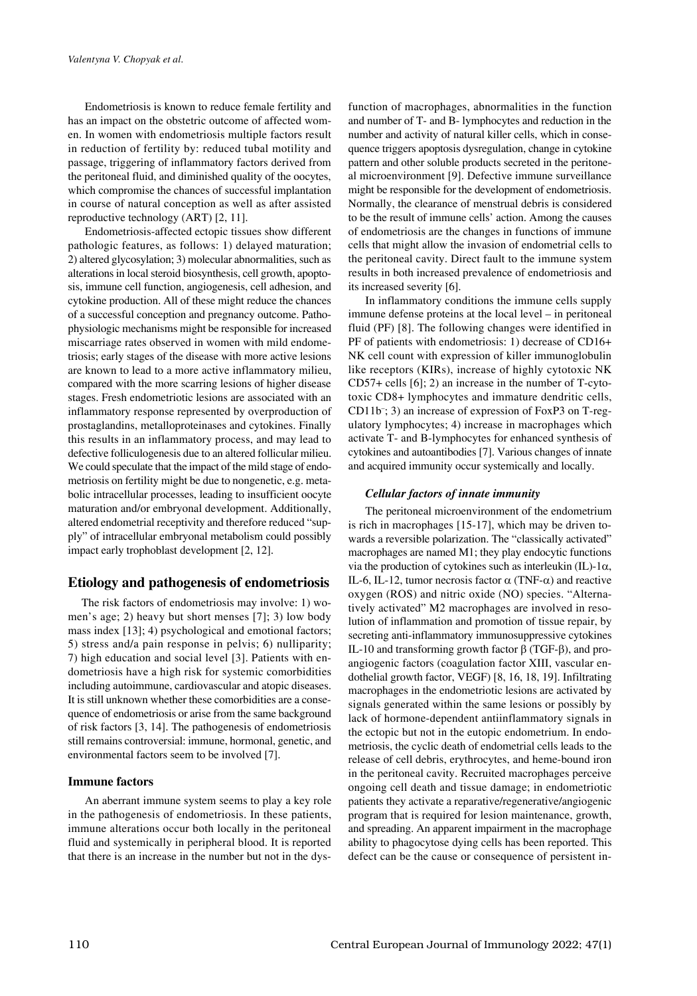Endometriosis is known to reduce female fertility and has an impact on the obstetric outcome of affected women. In women with endometriosis multiple factors result in reduction of fertility by: reduced tubal motility and passage, triggering of inflammatory factors derived from the peritoneal fluid, and diminished quality of the oocytes, which compromise the chances of successful implantation in course of natural conception as well as after assisted reproductive technology (ART) [2, 11].

Endometriosis-affected ectopic tissues show different pathologic features, as follows: 1) delayed maturation; 2) altered glycosylation; 3) molecular abnormalities, such as alterations in local steroid biosynthesis, cell growth, apoptosis, immune cell function, angiogenesis, cell adhesion, and cytokine production. All of these might reduce the chances of a successful conception and pregnancy outcome. Pathophysiologic mechanisms might be responsible for increased miscarriage rates observed in women with mild endometriosis; early stages of the disease with more active lesions are known to lead to a more active inflammatory milieu, compared with the more scarring lesions of higher disease stages. Fresh endometriotic lesions are associated with an inflammatory response represented by overproduction of prostaglandins, metalloproteinases and cytokines. Finally this results in an inflammatory process, and may lead to defective folliculogenesis due to an altered follicular milieu. We could speculate that the impact of the mild stage of endometriosis on fertility might be due to nongenetic, e.g. metabolic intracellular processes, leading to insufficient oocyte maturation and/or embryonal development. Additionally, altered endometrial receptivity and therefore reduced "supply" of intracellular embryonal metabolism could possibly impact early trophoblast development [2, 12].

# **Etiology and pathogenesis of endometriosis**

The risk factors of endometriosis may involve: 1) women's age; 2) heavy but short menses [7]; 3) low body mass index [13]; 4) psychological and emotional factors; 5) stress and/a pain response in pelvis; 6) nulliparity; 7) high education and social level [3]. Patients with endometriosis have a high risk for systemic comorbidities including autoimmune, cardiovascular and atopic diseases. It is still unknown whether these comorbidities are a consequence of endometriosis or arise from the same background of risk factors [3, 14]. The pathogenesis of endometriosis still remains controversial: immune, hormonal, genetic, and environmental factors seem to be involved [7].

## **Immune factors**

An aberrant immune system seems to play a key role in the pathogenesis of endometriosis. In these patients, immune alterations occur both locally in the peritoneal fluid and systemically in peripheral blood. It is reported that there is an increase in the number but not in the dysfunction of macrophages, abnormalities in the function and number of T- and B- lymphocytes and reduction in the number and activity of natural killer cells, which in consequence triggers apoptosis dysregulation, change in cytokine pattern and other soluble products secreted in the peritoneal microenvironment [9]. Defective immune surveillance might be responsible for the development of endometriosis. Normally, the clearance of menstrual debris is considered to be the result of immune cells' action. Among the causes of endometriosis are the changes in functions of immune cells that might allow the invasion of endometrial cells to the peritoneal cavity. Direct fault to the immune system results in both increased prevalence of endometriosis and its increased severity [6].

In inflammatory conditions the immune cells supply immune defense proteins at the local level – in peritoneal fluid (PF) [8]. The following changes were identified in PF of patients with endometriosis: 1) decrease of CD16+ NK cell count with expression of killer immunoglobulin like receptors (KIRs), increase of highly cytotoxic NK CD57+ cells [6]; 2) an increase in the number of T-cytotoxic CD8+ lymphocytes and immature dendritic cells, CD11b– ; 3) an increase of expression of FoxP3 on T-regulatory lymphocytes; 4) increase in macrophages which activate T- and B-lymphocytes for enhanced synthesis of cytokines and autoantibodies [7]. Various changes of innate and acquired immunity occur systemically and locally.

#### *Cellular factors of innate immunity*

The peritoneal microenvironment of the endometrium is rich in macrophages [15-17], which may be driven towards a reversible polarization. The "classically activated" macrophages are named M1; they play endocytic functions via the production of cytokines such as interleukin (IL)-1α, IL-6, IL-12, tumor necrosis factor  $\alpha$  (TNF- $\alpha$ ) and reactive oxygen (ROS) and nitric oxide (NO) species. "Alternatively activated" M2 macrophages are involved in resolution of inflammation and promotion of tissue repair, by secreting anti-inflammatory immunosuppressive cytokines IL-10 and transforming growth factor β (TGF-β), and proangiogenic factors (coagulation factor XIII, vascular endothelial growth factor, VEGF) [8, 16, 18, 19]. Infiltrating macrophages in the endometriotic lesions are activated by signals generated within the same lesions or possibly by lack of hormone-dependent antiinflammatory signals in the ectopic but not in the eutopic endometrium. In endometriosis, the cyclic death of endometrial cells leads to the release of cell debris, erythrocytes, and heme-bound iron in the peritoneal cavity. Recruited macrophages perceive ongoing cell death and tissue damage; in endometriotic patients they activate a reparative/regenerative/angiogenic program that is required for lesion maintenance, growth, and spreading. An apparent impairment in the macrophage ability to phagocytose dying cells has been reported. This defect can be the cause or consequence of persistent in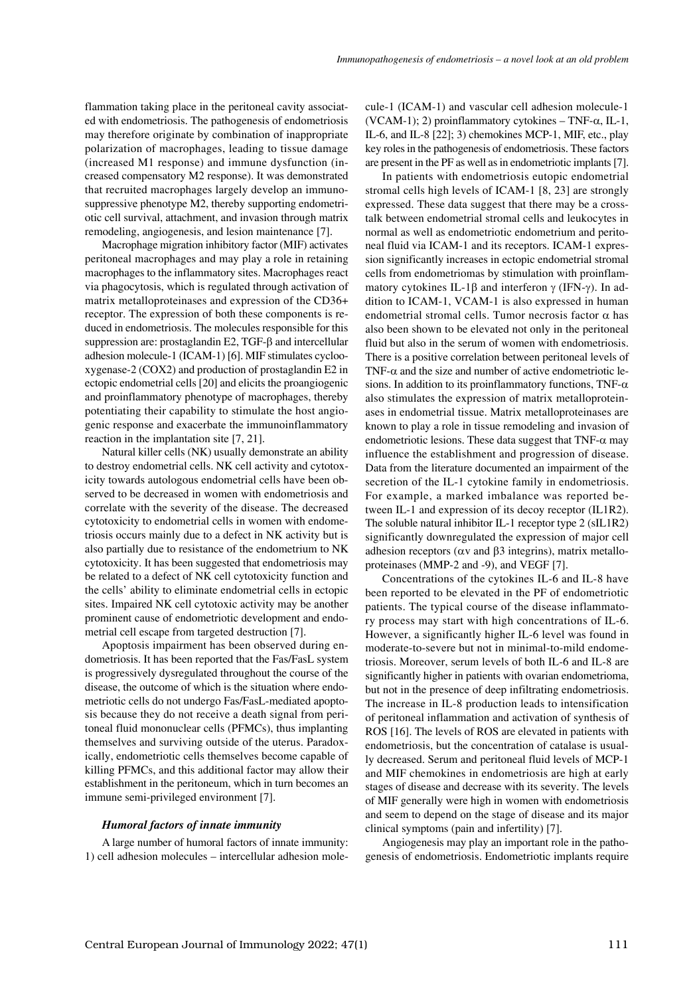flammation taking place in the peritoneal cavity associated with endometriosis. The pathogenesis of endometriosis may therefore originate by combination of inappropriate polarization of macrophages, leading to tissue damage (increased M1 response) and immune dysfunction (increased compensatory M2 response). It was demonstrated that recruited macrophages largely develop an immunosuppressive phenotype M2, thereby supporting endometriotic cell survival, attachment, and invasion through matrix remodeling, angiogenesis, and lesion maintenance [7].

Macrophage migration inhibitory factor (MIF) activates peritoneal macrophages and may play a role in retaining macrophages to the inflammatory sites. Macrophages react via phagocytosis, which is regulated through activation of matrix metalloproteinases and expression of the CD36+ receptor. The expression of both these components is reduced in endometriosis. The molecules responsible for this suppression are: prostaglandin E2, TGF-β and intercellular adhesion molecule-1 (ICAM-1) [6]. MIF stimulates cyclooxygenase-2 (COX2) and production of prostaglandin E2 in ectopic endometrial cells [20] and elicits the proangiogenic and proinflammatory phenotype of macrophages, thereby potentiating their capability to stimulate the host angiogenic response and exacerbate the immunoinflammatory reaction in the implantation site [7, 21].

Natural killer cells (NK) usually demonstrate an ability to destroy endometrial cells. NK cell activity and cytotoxicity towards autologous endometrial cells have been observed to be decreased in women with endometriosis and correlate with the severity of the disease. The decreased cytotoxicity to endometrial cells in women with endometriosis occurs mainly due to a defect in NK activity but is also partially due to resistance of the endometrium to NK cytotoxicity. It has been suggested that endometriosis may be related to a defect of NK cell cytotoxicity function and the cells' ability to eliminate endometrial cells in ectopic sites. Impaired NK cell cytotoxic activity may be another prominent cause of endometriotic development and endometrial cell escape from targeted destruction [7].

Apoptosis impairment has been observed during endometriosis. It has been reported that the Fas/FasL system is progressively dysregulated throughout the course of the disease, the outcome of which is the situation where endometriotic cells do not undergo Fas/FasL-mediated apoptosis because they do not receive a death signal from peritoneal fluid mononuclear cells (PFMCs), thus implanting themselves and surviving outside of the uterus. Paradoxically, endometriotic cells themselves become capable of killing PFMCs, and this additional factor may allow their establishment in the peritoneum, which in turn becomes an immune semi-privileged environment [7].

#### *Humoral factors of innate immunity*

A large number of humoral factors of innate immunity: 1) cell adhesion molecules – intercellular adhesion molecule-1 (ICAM-1) and vascular cell adhesion molecule-1 (VCAM-1); 2) proinflammatory cytokines – TNF- $\alpha$ , IL-1, IL-6, and IL-8 [22]; 3) chemokines MCP-1, MIF, etc., play key roles in the pathogenesis of endometriosis. These factors are present in the PF as well as in endometriotic implants [7].

In patients with endometriosis eutopic endometrial stromal cells high levels of ICAM-1 [8, 23] are strongly expressed. These data suggest that there may be a crosstalk between endometrial stromal cells and leukocytes in normal as well as endometriotic endometrium and peritoneal fluid via ICAM-1 and its receptors. ICAM-1 expression significantly increases in ectopic endometrial stromal cells from endometriomas by stimulation with proinflammatory cytokines IL-1β and interferon  $\gamma$  (IFN- $\gamma$ ). In addition to ICAM-1, VCAM-1 is also expressed in human endometrial stromal cells. Tumor necrosis factor  $\alpha$  has also been shown to be elevated not only in the peritoneal fluid but also in the serum of women with endometriosis. There is a positive correlation between peritoneal levels of TNF- $\alpha$  and the size and number of active endometriotic lesions. In addition to its proinflammatory functions, TNF- $\alpha$ also stimulates the expression of matrix metalloproteinases in endometrial tissue. Matrix metalloproteinases are known to play a role in tissue remodeling and invasion of endometriotic lesions. These data suggest that  $TNF-\alpha$  may influence the establishment and progression of disease. Data from the literature documented an impairment of the secretion of the IL-1 cytokine family in endometriosis. For example, a marked imbalance was reported between IL-1 and expression of its decoy receptor (IL1R2). The soluble natural inhibitor IL-1 receptor type 2 (sIL1R2) significantly downregulated the expression of major cell adhesion receptors ( $\alpha v$  and  $\beta 3$  integrins), matrix metalloproteinases (MMP-2 and -9), and VEGF [7].

Concentrations of the cytokines IL-6 and IL-8 have been reported to be elevated in the PF of endometriotic patients. The typical course of the disease inflammatory process may start with high concentrations of IL-6. However, a significantly higher IL-6 level was found in moderate-to-severe but not in minimal-to-mild endometriosis. Moreover, serum levels of both IL-6 and IL-8 are significantly higher in patients with ovarian endometrioma, but not in the presence of deep infiltrating endometriosis. The increase in IL-8 production leads to intensification of peritoneal inflammation and activation of synthesis of ROS [16]. The levels of ROS are elevated in patients with endometriosis, but the concentration of catalase is usually decreased. Serum and peritoneal fluid levels of MCP-1 and MIF chemokines in endometriosis are high at early stages of disease and decrease with its severity. The levels of MIF generally were high in women with endometriosis and seem to depend on the stage of disease and its major clinical symptoms (pain and infertility) [7].

Angiogenesis may play an important role in the pathogenesis of endometriosis. Endometriotic implants require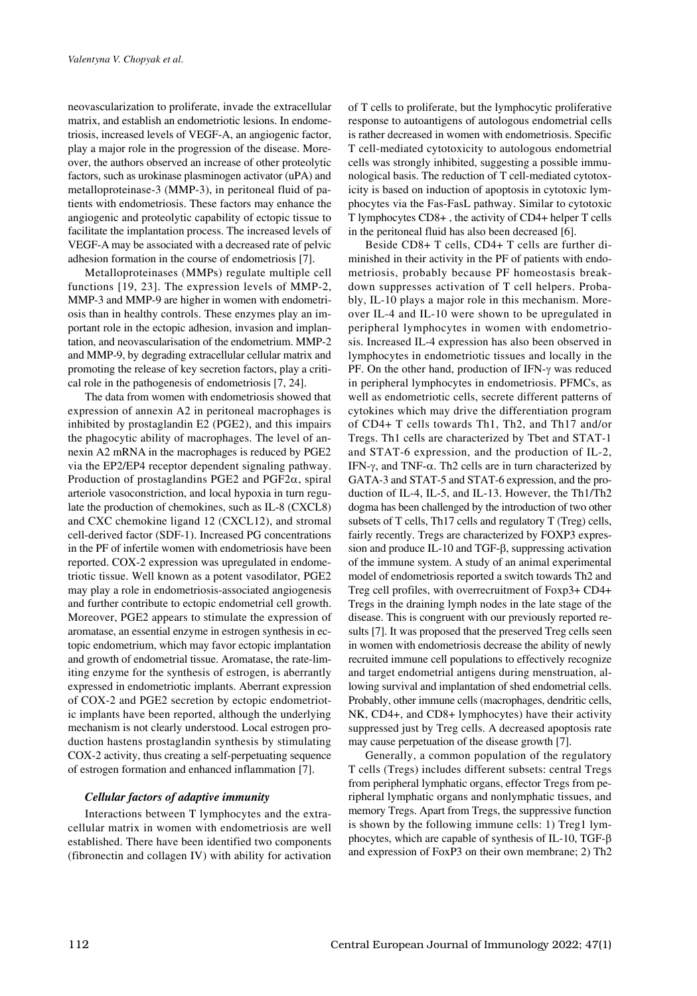neovascularization to proliferate, invade the extracellular matrix, and establish an endometriotic lesions. In endometriosis, increased levels of VEGF-A, an angiogenic factor, play a major role in the progression of the disease. Moreover, the authors observed an increase of other proteolytic factors, such as urokinase plasminogen activator (uPA) and metalloproteinase-3 (MMP-3), in peritoneal fluid of patients with endometriosis. These factors may enhance the angiogenic and proteolytic capability of ectopic tissue to facilitate the implantation process. The increased levels of VEGF-A may be associated with a decreased rate of pelvic adhesion formation in the course of endometriosis [7].

Metalloproteinases (MMPs) regulate multiple cell functions [19, 23]. The expression levels of MMP-2, MMP-3 and MMP-9 are higher in women with endometriosis than in healthy controls. These enzymes play an important role in the ectopic adhesion, invasion and implantation, and neovascularisation of the endometrium. MMP-2 and MMP-9, by degrading extracellular cellular matrix and promoting the release of key secretion factors, play a critical role in the pathogenesis of endometriosis [7, 24].

The data from women with endometriosis showed that expression of annexin A2 in peritoneal macrophages is inhibited by prostaglandin E2 (PGE2), and this impairs the phagocytic ability of macrophages. The level of annexin A2 mRNA in the macrophages is reduced by PGE2 via the EP2/EP4 receptor dependent signaling pathway. Production of prostaglandins PGE2 and PGF2α, spiral arteriole vasoconstriction, and local hypoxia in turn regulate the production of chemokines, such as IL-8 (CXCL8) and CXC chemokine ligand 12 (CXCL12), and stromal cell-derived factor (SDF-1). Increased PG concentrations in the PF of infertile women with endometriosis have been reported. COX-2 expression was upregulated in endometriotic tissue. Well known as a potent vasodilator, PGE2 may play a role in endometriosis-associated angiogenesis and further contribute to ectopic endometrial cell growth. Moreover, PGE2 appears to stimulate the expression of aromatase, an essential enzyme in estrogen synthesis in ectopic endometrium, which may favor ectopic implantation and growth of endometrial tissue. Aromatase, the rate-limiting enzyme for the synthesis of estrogen, is aberrantly expressed in endometriotic implants. Aberrant expression of COX-2 and PGE2 secretion by ectopic endometriotic implants have been reported, although the underlying mechanism is not clearly understood. Local estrogen production hastens prostaglandin synthesis by stimulating COX-2 activity, thus creating a self-perpetuating sequence of estrogen formation and enhanced inflammation [7].

## *Cellular factors of adaptive immunity*

Interactions between T lymphocytes and the extracellular matrix in women with endometriosis are well established. There have been identified two components (fibronectin and collagen IV) with ability for activation of T cells to proliferate, but the lymphocytic proliferative response to autoantigens of autologous endometrial cells is rather decreased in women with endometriosis. Specific T cell-mediated cytotoxicity to autologous endometrial cells was strongly inhibited, suggesting a possible immunological basis. The reduction of T cell-mediated cytotoxicity is based on induction of apoptosis in cytotoxic lymphocytes via the Fas-FasL pathway. Similar to cytotoxic T lymphocytes CD8+ , the activity of CD4+ helper T cells in the peritoneal fluid has also been decreased [6].

Beside CD8+ T cells, CD4+ T cells are further diminished in their activity in the PF of patients with endometriosis, probably because PF homeostasis breakdown suppresses activation of T cell helpers. Probably, IL-10 plays a major role in this mechanism. Moreover IL-4 and IL-10 were shown to be upregulated in peripheral lymphocytes in women with endometriosis. Increased IL-4 expression has also been observed in lymphocytes in endometriotic tissues and locally in the PF. On the other hand, production of IFN-γ was reduced in peripheral lymphocytes in endometriosis. PFMCs, as well as endometriotic cells, secrete different patterns of cytokines which may drive the differentiation program of CD4+ T cells towards Th1, Th2, and Th17 and/or Tregs. Th1 cells are characterized by Tbet and STAT-1 and STAT-6 expression, and the production of IL-2, IFN-γ, and TNF-α. Th2 cells are in turn characterized by GATA-3 and STAT-5 and STAT-6 expression, and the production of IL-4, IL-5, and IL-13. However, the Th1/Th2 dogma has been challenged by the introduction of two other subsets of T cells, Th17 cells and regulatory T (Treg) cells, fairly recently. Tregs are characterized by FOXP3 expression and produce IL-10 and TGF-β, suppressing activation of the immune system. A study of an animal experimental model of endometriosis reported a switch towards Th2 and Treg cell profiles, with overrecruitment of Foxp3+ CD4+ Tregs in the draining lymph nodes in the late stage of the disease. This is congruent with our previously reported results [7]. It was proposed that the preserved Treg cells seen in women with endometriosis decrease the ability of newly recruited immune cell populations to effectively recognize and target endometrial antigens during menstruation, allowing survival and implantation of shed endometrial cells. Probably, other immune cells (macrophages, dendritic cells, NK, CD4+, and CD8+ lymphocytes) have their activity suppressed just by Treg cells. A decreased apoptosis rate may cause perpetuation of the disease growth [7].

Generally, a common population of the regulatory T cells (Tregs) includes different subsets: central Tregs from peripheral lymphatic organs, effector Tregs from peripheral lymphatic organs and nonlymphatic tissues, and memory Tregs. Apart from Tregs, the suppressive function is shown by the following immune cells: 1) Treg1 lymphocytes, which are capable of synthesis of IL-10, TGF-β and expression of FoxP3 on their own membrane; 2) Th2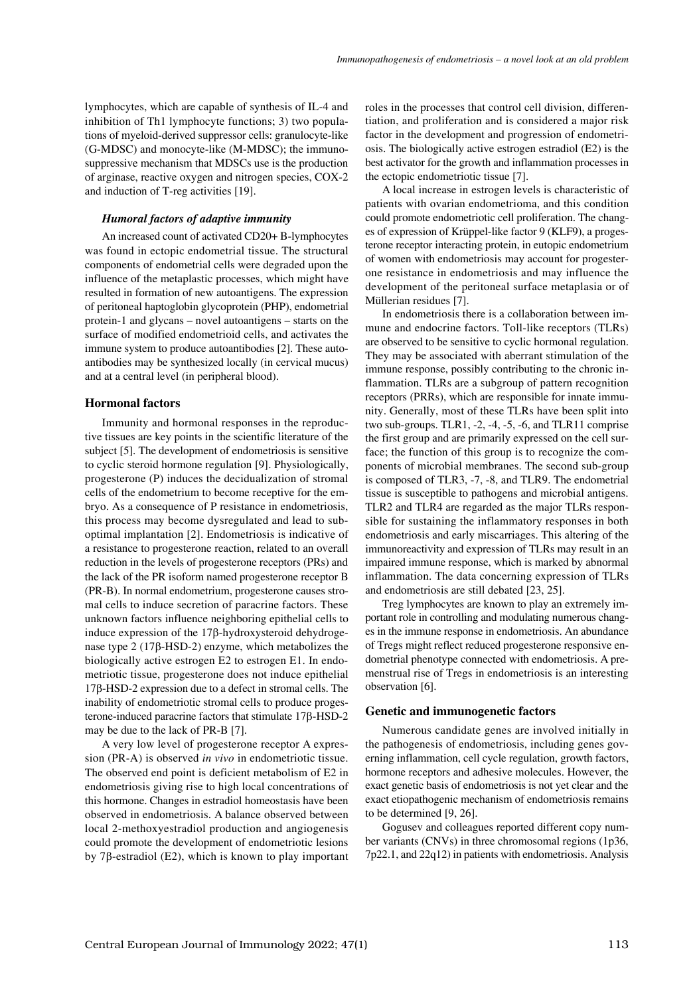lymphocytes, which are capable of synthesis of IL-4 and inhibition of Th1 lymphocyte functions; 3) two populations of myeloid-derived suppressor cells: granulocyte-like (G-MDSC) and monocyte-like (M-MDSC); the immunosuppressive mechanism that MDSCs use is the production of arginase, reactive oxygen and nitrogen species, COX-2 and induction of T-reg activities [19].

#### *Humoral factors of adaptive immunity*

An increased count of activated CD20+ B-lymphocytes was found in ectopic endometrial tissue. The structural components of endometrial cells were degraded upon the influence of the metaplastic processes, which might have resulted in formation of new autoantigens. The expression of peritoneal haptoglobin glycoprotein (PHP), endometrial protein-1 and glycans – novel autoantigens – starts on the surface of modified endometrioid cells, and activates the immune system to produce autoantibodies [2]. These autoantibodies may be synthesized locally (in cervical mucus) and at a central level (in peripheral blood).

#### **Hormonal factors**

Immunity and hormonal responses in the reproductive tissues are key points in the scientific literature of the subject [5]. The development of endometriosis is sensitive to cyclic steroid hormone regulation [9]. Physiologically, progesterone (P) induces the decidualization of stromal cells of the endometrium to become receptive for the embryo. As a consequence of P resistance in endometriosis, this process may become dysregulated and lead to suboptimal implantation [2]. Endometriosis is indicative of a resistance to progesterone reaction, related to an overall reduction in the levels of progesterone receptors (PRs) and the lack of the PR isoform named progesterone receptor B (PR-B). In normal endometrium, progesterone causes stromal cells to induce secretion of paracrine factors. These unknown factors influence neighboring epithelial cells to induce expression of the 17β-hydroxysteroid dehydrogenase type 2 (17β-HSD-2) enzyme, which metabolizes the biologically active estrogen E2 to estrogen E1. In endometriotic tissue, progesterone does not induce epithelial 17β-HSD-2 expression due to a defect in stromal cells. The inability of endometriotic stromal cells to produce progesterone-induced paracrine factors that stimulate 17β-HSD-2 may be due to the lack of PR-B [7].

A very low level of progesterone receptor A expression (PR-A) is observed *in vivo* in endometriotic tissue. The observed end point is deficient metabolism of E2 in endometriosis giving rise to high local concentrations of this hormone. Changes in estradiol homeostasis have been observed in endometriosis. A balance observed between local 2-methoxyestradiol production and angiogenesis could promote the development of endometriotic lesions by 7β-estradiol (E2), which is known to play important roles in the processes that control cell division, differentiation, and proliferation and is considered a major risk factor in the development and progression of endometriosis. The biologically active estrogen estradiol (E2) is the best activator for the growth and inflammation processes in the ectopic endometriotic tissue [7].

A local increase in estrogen levels is characteristic of patients with ovarian endometrioma, and this condition could promote endometriotic cell proliferation. The changes of expression of Krüppel-like factor 9 (KLF9), a progesterone receptor interacting protein, in eutopic endometrium of women with endometriosis may account for progesterone resistance in endometriosis and may influence the development of the peritoneal surface metaplasia or of Müllerian residues [7].

In endometriosis there is a collaboration between immune and endocrine factors. Toll-like receptors (TLRs) are observed to be sensitive to cyclic hormonal regulation. They may be associated with aberrant stimulation of the immune response, possibly contributing to the chronic inflammation. TLRs are a subgroup of pattern recognition receptors (PRRs), which are responsible for innate immunity. Generally, most of these TLRs have been split into two sub-groups. TLR1, -2, -4, -5, -6, and TLR11 comprise the first group and are primarily expressed on the cell surface; the function of this group is to recognize the components of microbial membranes. The second sub-group is composed of TLR3, -7, -8, and TLR9. The endometrial tissue is susceptible to pathogens and microbial antigens. TLR2 and TLR4 are regarded as the major TLRs responsible for sustaining the inflammatory responses in both endometriosis and early miscarriages. This altering of the immunoreactivity and expression of TLRs may result in an impaired immune response, which is marked by abnormal inflammation. The data concerning expression of TLRs and endometriosis are still debated [23, 25].

Treg lymphocytes are known to play an extremely important role in controlling and modulating numerous changes in the immune response in endometriosis. An abundance of Tregs might reflect reduced progesterone responsive endometrial phenotype connected with endometriosis. A premenstrual rise of Tregs in endometriosis is an interesting observation [6].

#### **Genetic and immunogenetic factors**

Numerous candidate genes are involved initially in the pathogenesis of endometriosis, including genes governing inflammation, cell cycle regulation, growth factors, hormone receptors and adhesive molecules. However, the exact genetic basis of endometriosis is not yet clear and the exact etiopathogenic mechanism of endometriosis remains to be determined [9, 26].

Gogusev and colleagues reported different copy number variants (CNVs) in three chromosomal regions (1p36, 7p22.1, and 22q12) in patients with endometriosis. Analysis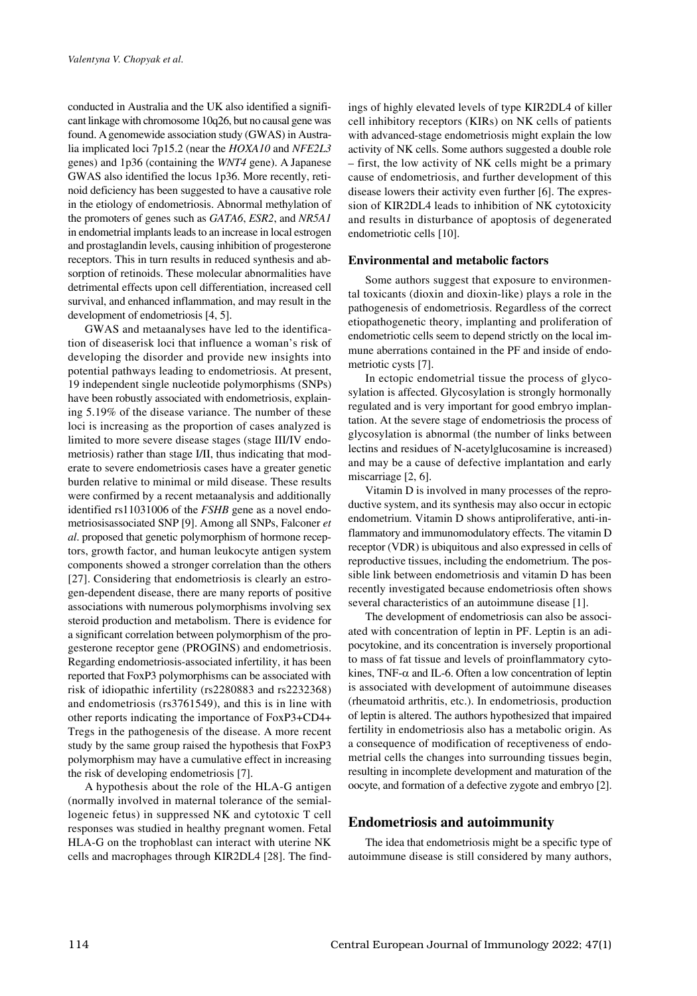conducted in Australia and the UK also identified a significant linkage with chromosome 10q26, but no causal gene was found. Agenomewide association study (GWAS) in Australia implicated loci 7p15.2 (near the *HOXA10* and *NFE2L3*  genes) and 1p36 (containing the *WNT4* gene). A Japanese GWAS also identified the locus 1p36. More recently, retinoid deficiency has been suggested to have a causative role in the etiology of endometriosis. Abnormal methylation of the promoters of genes such as *GATA6*, *ESR2*, and *NR5A1* in endometrial implants leads to an increase in local estrogen and prostaglandin levels, causing inhibition of progesterone receptors. This in turn results in reduced synthesis and absorption of retinoids. These molecular abnormalities have detrimental effects upon cell differentiation, increased cell survival, and enhanced inflammation, and may result in the development of endometriosis [4, 5].

GWAS and metaanalyses have led to the identification of diseaserisk loci that influence a woman's risk of developing the disorder and provide new insights into potential pathways leading to endometriosis. At present, 19 independent single nucleotide polymorphisms (SNPs) have been robustly associated with endometriosis, explaining 5.19% of the disease variance. The number of these loci is increasing as the proportion of cases analyzed is limited to more severe disease stages (stage III/IV endometriosis) rather than stage I/II, thus indicating that moderate to severe endometriosis cases have a greater genetic burden relative to minimal or mild disease. These results were confirmed by a recent metaanalysis and additionally identified rs11031006 of the *FSHB* gene as a novel endometriosisassociated SNP [9]. Among all SNPs, Falconer *et al*. proposed that genetic polymorphism of hormone receptors, growth factor, and human leukocyte antigen system components showed a stronger correlation than the others [27]. Considering that endometriosis is clearly an estrogen-dependent disease, there are many reports of positive associations with numerous polymorphisms involving sex steroid production and metabolism. There is evidence for a significant correlation between polymorphism of the progesterone receptor gene (PROGINS) and endometriosis. Regarding endometriosis-associated infertility, it has been reported that FoxP3 polymorphisms can be associated with risk of idiopathic infertility (rs2280883 and rs2232368) and endometriosis (rs3761549), and this is in line with other reports indicating the importance of FoxP3+CD4+ Tregs in the pathogenesis of the disease. A more recent study by the same group raised the hypothesis that FoxP3 polymorphism may have a cumulative effect in increasing the risk of developing endometriosis [7].

A hypothesis about the role of the HLA-G antigen (normally involved in maternal tolerance of the semiallogeneic fetus) in suppressed NK and cytotoxic T cell responses was studied in healthy pregnant women. Fetal HLA-G on the trophoblast can interact with uterine NK cells and macrophages through KIR2DL4 [28]. The findings of highly elevated levels of type KIR2DL4 of killer cell inhibitory receptors (KIRs) on NK cells of patients with advanced-stage endometriosis might explain the low activity of NK cells. Some authors suggested a double role – first, the low activity of NK cells might be a primary cause of endometriosis, and further development of this disease lowers their activity even further [6]. The expression of KIR2DL4 leads to inhibition of NK cytotoxicity and results in disturbance of apoptosis of degenerated endometriotic cells [10].

## **Environmental and metabolic factors**

Some authors suggest that exposure to environmental toxicants (dioxin and dioxin-like) plays a role in the pathogenesis of endometriosis. Regardless of the correct etiopathogenetic theory, implanting and proliferation of endometriotic cells seem to depend strictly on the local immune aberrations contained in the PF and inside of endometriotic cysts [7].

In ectopic endometrial tissue the process of glycosylation is affected. Glycosylation is strongly hormonally regulated and is very important for good embryo implantation. At the severe stage of endometriosis the process of glycosylation is abnormal (the number of links between lectins and residues of N-acetylglucosamine is increased) and may be a cause of defective implantation and early miscarriage [2, 6].

Vitamin D is involved in many processes of the reproductive system, and its synthesis may also occur in ectopic endometrium. Vitamin D shows antiproliferative, anti-inflammatory and immunomodulatory effects. The vitamin D receptor (VDR) is ubiquitous and also expressed in cells of reproductive tissues, including the endometrium. The possible link between endometriosis and vitamin D has been recently investigated because endometriosis often shows several characteristics of an autoimmune disease [1].

The development of endometriosis can also be associated with concentration of leptin in PF. Leptin is an adipocytokine, and its concentration is inversely proportional to mass of fat tissue and levels of proinflammatory cytokines, TNF- $\alpha$  and IL-6. Often a low concentration of leptin is associated with development of autoimmune diseases (rheumatoid arthritis, etc.). In endometriosis, production of leptin is altered. The authors hypothesized that impaired fertility in endometriosis also has a metabolic origin. As a consequence of modification of receptiveness of endometrial cells the changes into surrounding tissues begin, resulting in incomplete development and maturation of the oocyte, and formation of a defective zygote and embryo [2].

## **Endometriosis and autoimmunity**

The idea that endometriosis might be a specific type of autoimmune disease is still considered by many authors,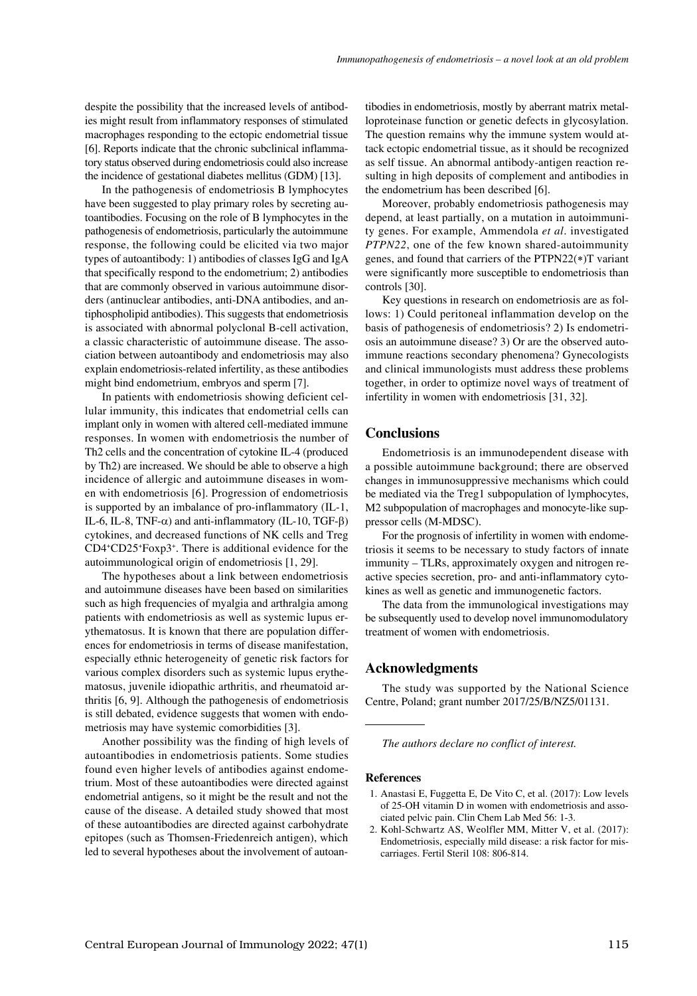despite the possibility that the increased levels of antibodies might result from inflammatory responses of stimulated macrophages responding to the ectopic endometrial tissue [6]. Reports indicate that the chronic subclinical inflammatory status observed during endometriosis could also increase the incidence of gestational diabetes mellitus (GDM) [13].

In the pathogenesis of endometriosis B lymphocytes have been suggested to play primary roles by secreting autoantibodies. Focusing on the role of B lymphocytes in the pathogenesis of endometriosis, particularly the autoimmune response, the following could be elicited via two major types of autoantibody: 1) antibodies of classes IgG and IgA that specifically respond to the endometrium; 2) antibodies that are commonly observed in various autoimmune disorders (antinuclear antibodies, anti-DNA antibodies, and antiphospholipid antibodies). This suggests that endometriosis is associated with abnormal polyclonal B-cell activation, a classic characteristic of autoimmune disease. The association between autoantibody and endometriosis may also explain endometriosis-related infertility, as these antibodies might bind endometrium, embryos and sperm [7].

In patients with endometriosis showing deficient cellular immunity, this indicates that endometrial cells can implant only in women with altered cell-mediated immune responses. In women with endometriosis the number of Th2 cells and the concentration of cytokine IL-4 (produced by Th2) are increased. We should be able to observe a high incidence of allergic and autoimmune diseases in women with endometriosis [6]. Progression of endometriosis is supported by an imbalance of pro-inflammatory (IL-1, IL-6, IL-8, TNF- $\alpha$ ) and anti-inflammatory (IL-10, TGF- $\beta$ ) cytokines, and decreased functions of NK cells and Treg CD4+CD25+Foxp3+. There is additional evidence for the autoimmunological origin of endometriosis [1, 29].

The hypotheses about a link between endometriosis and autoimmune diseases have been based on similarities such as high frequencies of myalgia and arthralgia among patients with endometriosis as well as systemic lupus erythematosus. It is known that there are population differences for endometriosis in terms of disease manifestation, especially ethnic heterogeneity of genetic risk factors for various complex disorders such as systemic lupus erythematosus, juvenile idiopathic arthritis, and rheumatoid arthritis [6, 9]. Although the pathogenesis of endometriosis is still debated, evidence suggests that women with endometriosis may have systemic comorbidities [3].

Another possibility was the finding of high levels of autoantibodies in endometriosis patients. Some studies found even higher levels of antibodies against endometrium. Most of these autoantibodies were directed against endometrial antigens, so it might be the result and not the cause of the disease. A detailed study showed that most of these autoantibodies are directed against carbohydrate epitopes (such as Thomsen-Friedenreich antigen), which led to several hypotheses about the involvement of autoantibodies in endometriosis, mostly by aberrant matrix metalloproteinase function or genetic defects in glycosylation. The question remains why the immune system would attack ectopic endometrial tissue, as it should be recognized as self tissue. An abnormal antibody-antigen reaction resulting in high deposits of complement and antibodies in the endometrium has been described [6].

Moreover, probably endometriosis pathogenesis may depend, at least partially, on a mutation in autoimmunity genes. For example, Ammendola *et al*. investigated *PTPN22*, one of the few known shared-autoimmunity genes, and found that carriers of the PTPN22(∗)T variant were significantly more susceptible to endometriosis than controls [30].

Key questions in research on endometriosis are as follows: 1) Could peritoneal inflammation develop on the basis of pathogenesis of endometriosis? 2) Is endometriosis an autoimmune disease? 3) Or are the observed autoimmune reactions secondary phenomena? Gynecologists and clinical immunologists must address these problems together, in order to optimize novel ways of treatment of infertility in women with endometriosis [31, 32].

## **Conclusions**

Endometriosis is an immunodependent disease with a possible autoimmune background; there are observed changes in immunosuppressive mechanisms which could be mediated via the Treg1 subpopulation of lymphocytes, M2 subpopulation of macrophages and monocyte-like suppressor cells (M-MDSC).

For the prognosis of infertility in women with endometriosis it seems to be necessary to study factors of innate immunity – TLRs, approximately oxygen and nitrogen reactive species secretion, pro- and anti-inflammatory cytokines as well as genetic and immunogenetic factors.

The data from the immunological investigations may be subsequently used to develop novel immunomodulatory treatment of women with endometriosis.

## **Acknowledgments**

The study was supported by the National Science Centre, Poland; grant number 2017/25/B/NZ5/01131.

*The authors declare no conflict of interest.*

#### **References**

- 1. Anastasi E, Fuggetta E, De Vito C, et al. (2017): Low levels of 25-OH vitamin D in women with endometriosis and associated pelvic pain. Clin Chem Lab Med 56: 1-3.
- Kohl-Schwartz AS, Weolfler MM, Mitter V, et al. (2017): Endometriosis, especially mild disease: a risk factor for miscarriages. Fertil Steril 108: 806-814.